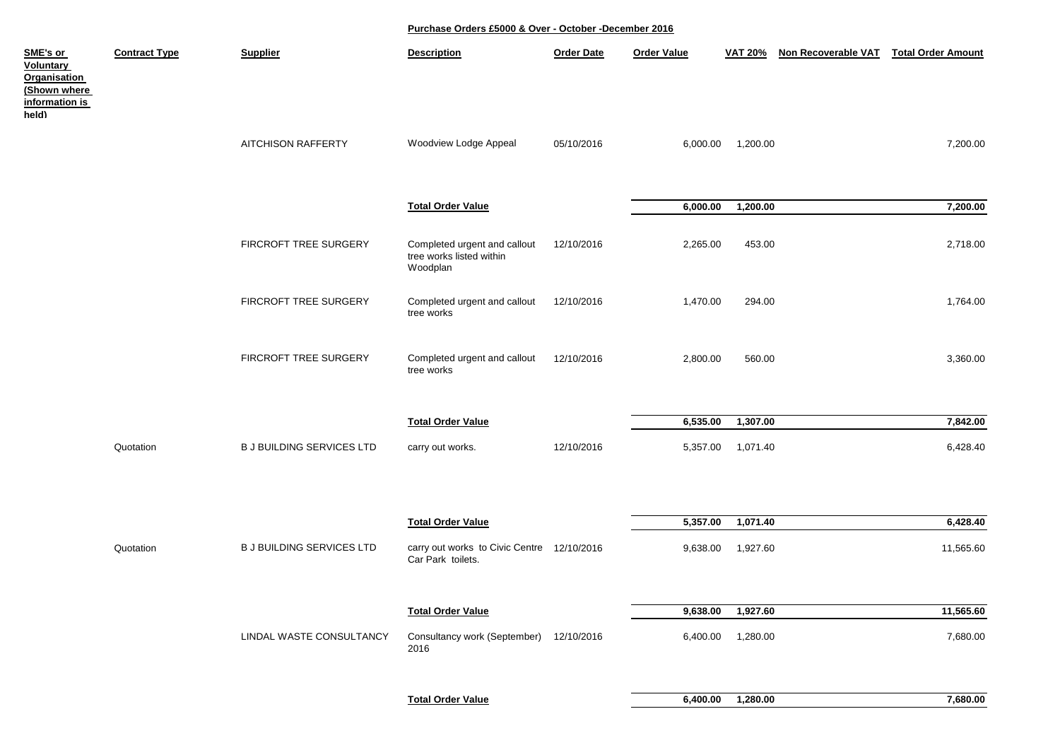| SME's or<br><b>Voluntary</b><br><b>Organisation</b><br>(Shown where<br>information is<br>held) | <b>Contract Type</b> | <b>Supplier</b>                  | <b>Description</b>                                                   | <b>Order Date</b> | <b>Order Value</b> | <b>VAT 20%</b>    | <b>Non Recoverable VAT</b> | <b>Total Order Amount</b> |
|------------------------------------------------------------------------------------------------|----------------------|----------------------------------|----------------------------------------------------------------------|-------------------|--------------------|-------------------|----------------------------|---------------------------|
|                                                                                                |                      | <b>AITCHISON RAFFERTY</b>        | Woodview Lodge Appeal                                                | 05/10/2016        | 6,000.00           | 1,200.00          |                            | 7,200.00                  |
|                                                                                                |                      |                                  | <b>Total Order Value</b>                                             |                   | 6,000.00           | 1,200.00          |                            | 7,200.00                  |
|                                                                                                |                      | FIRCROFT TREE SURGERY            | Completed urgent and callout<br>tree works listed within<br>Woodplan | 12/10/2016        | 2,265.00           | 453.00            |                            | 2,718.00                  |
|                                                                                                |                      | FIRCROFT TREE SURGERY            | Completed urgent and callout<br>tree works                           | 12/10/2016        | 1,470.00           | 294.00            |                            | 1,764.00                  |
|                                                                                                |                      | FIRCROFT TREE SURGERY            | Completed urgent and callout<br>tree works                           | 12/10/2016        | 2,800.00           | 560.00            |                            | 3,360.00                  |
|                                                                                                |                      |                                  | <b>Total Order Value</b>                                             |                   | 6,535.00           | 1,307.00          |                            | 7,842.00                  |
|                                                                                                | Quotation            | <b>B J BUILDING SERVICES LTD</b> | carry out works.                                                     | 12/10/2016        | 5,357.00           | 1,071.40          |                            | 6,428.40                  |
|                                                                                                |                      |                                  |                                                                      |                   |                    |                   |                            |                           |
|                                                                                                |                      |                                  | <b>Total Order Value</b>                                             |                   | 5,357.00           | 1,071.40          |                            | 6,428.40                  |
|                                                                                                | Quotation            | <b>B J BUILDING SERVICES LTD</b> | carry out works to Civic Centre 12/10/2016<br>Car Park toilets.      |                   | 9,638.00           | 1,927.60          |                            | 11,565.60                 |
|                                                                                                |                      |                                  | <b>Total Order Value</b>                                             |                   | 9,638.00           | 1,927.60          |                            | 11,565.60                 |
|                                                                                                |                      | LINDAL WASTE CONSULTANCY         | Consultancy work (September) 12/10/2016<br>2016                      |                   |                    | 6,400.00 1,280.00 |                            | 7,680.00                  |
|                                                                                                |                      |                                  |                                                                      |                   |                    |                   |                            |                           |
|                                                                                                |                      |                                  | <b>Total Order Value</b>                                             |                   | 6,400.00           | 1,280.00          |                            | 7,680.00                  |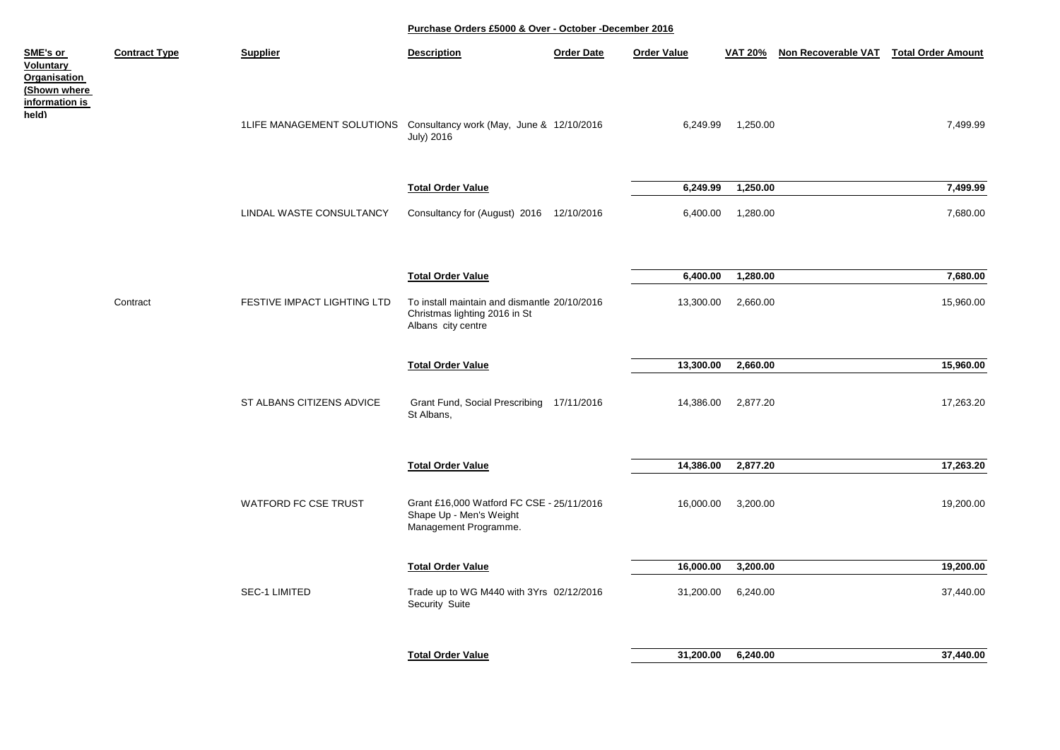| SME's or<br>Voluntary<br>Organisation<br>(Shown where | <b>Contract Type</b> | <b>Supplier</b>                                                     | <b>Description</b>                                                                                  | <b>Order Date</b> | <b>Order Value</b> | <b>VAT 20%</b> | Non Recoverable VAT Total Order Amount |           |
|-------------------------------------------------------|----------------------|---------------------------------------------------------------------|-----------------------------------------------------------------------------------------------------|-------------------|--------------------|----------------|----------------------------------------|-----------|
| <u>information is</u><br>held)                        |                      | 1LIFE MANAGEMENT SOLUTIONS Consultancy work (May, June & 12/10/2016 | <b>July) 2016</b>                                                                                   |                   | 6,249.99           | 1,250.00       |                                        | 7,499.99  |
|                                                       |                      |                                                                     | <b>Total Order Value</b>                                                                            |                   | 6,249.99           | 1,250.00       |                                        | 7,499.99  |
|                                                       |                      | LINDAL WASTE CONSULTANCY                                            | Consultancy for (August) 2016 12/10/2016                                                            |                   | 6,400.00           | 1,280.00       |                                        | 7,680.00  |
|                                                       |                      |                                                                     | <b>Total Order Value</b>                                                                            |                   | 6,400.00           | 1,280.00       |                                        | 7,680.00  |
|                                                       | Contract             | FESTIVE IMPACT LIGHTING LTD                                         | To install maintain and dismantle 20/10/2016<br>Christmas lighting 2016 in St<br>Albans city centre |                   | 13,300.00          | 2,660.00       |                                        | 15,960.00 |
|                                                       |                      |                                                                     | <b>Total Order Value</b>                                                                            |                   | 13,300.00          | 2,660.00       |                                        | 15,960.00 |
|                                                       |                      | ST ALBANS CITIZENS ADVICE                                           | Grant Fund, Social Prescribing 17/11/2016<br>St Albans,                                             |                   | 14,386.00          | 2,877.20       |                                        | 17,263.20 |
|                                                       |                      |                                                                     | <b>Total Order Value</b>                                                                            |                   | 14,386.00          | 2,877.20       |                                        | 17,263.20 |
|                                                       |                      | <b>WATFORD FC CSE TRUST</b>                                         | Grant £16,000 Watford FC CSE - 25/11/2016<br>Shape Up - Men's Weight<br>Management Programme.       |                   | 16,000.00          | 3,200.00       |                                        | 19,200.00 |
|                                                       |                      |                                                                     | <b>Total Order Value</b>                                                                            |                   | 16,000.00          | 3,200.00       |                                        | 19,200.00 |
|                                                       |                      | <b>SEC-1 LIMITED</b>                                                | Trade up to WG M440 with 3Yrs 02/12/2016<br>Security Suite                                          |                   | 31,200.00          | 6,240.00       |                                        | 37,440.00 |
|                                                       |                      |                                                                     |                                                                                                     |                   |                    |                |                                        |           |
|                                                       |                      |                                                                     | <b>Total Order Value</b>                                                                            |                   | 31,200.00          | 6,240.00       |                                        | 37,440.00 |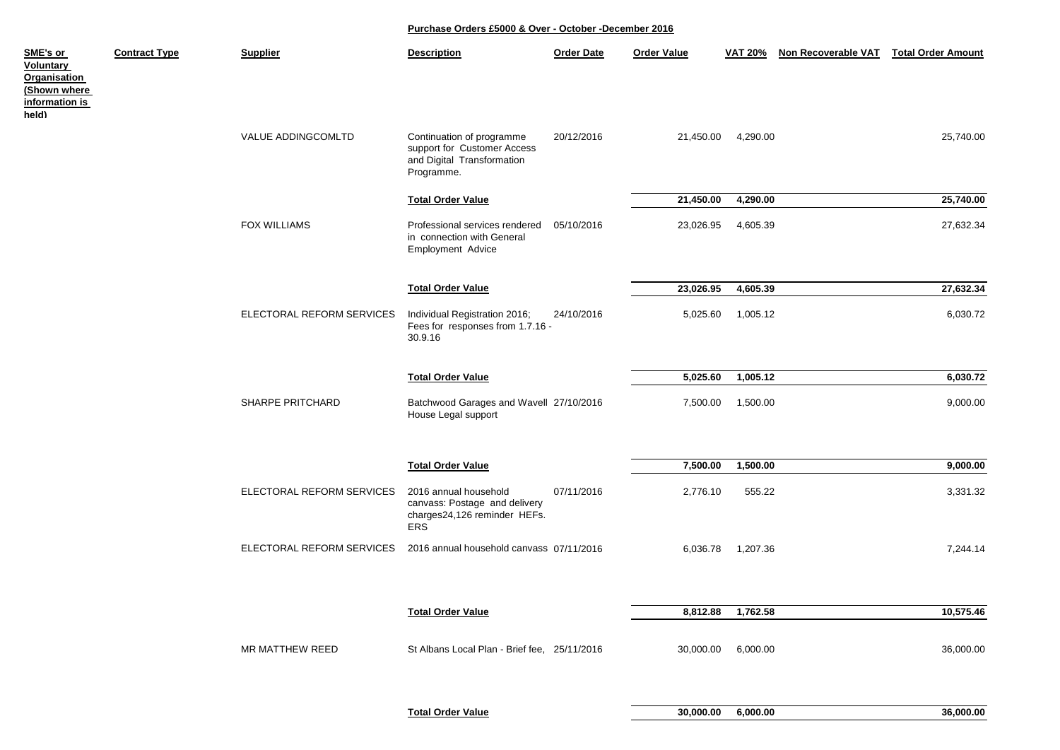| SME's or<br><b>Voluntary</b><br>Organisation<br>(Shown where<br>information is<br>held) | <b>Contract Type</b> | <b>Supplier</b>           | <b>Description</b>                                                                                   | <b>Order Date</b> | <b>Order Value</b> | <b>VAT 20%</b> | Non Recoverable VAT | <b>Total Order Amount</b> |
|-----------------------------------------------------------------------------------------|----------------------|---------------------------|------------------------------------------------------------------------------------------------------|-------------------|--------------------|----------------|---------------------|---------------------------|
|                                                                                         |                      | VALUE ADDINGCOMLTD        | Continuation of programme<br>support for Customer Access<br>and Digital Transformation<br>Programme. | 20/12/2016        | 21,450.00          | 4,290.00       |                     | 25,740.00                 |
|                                                                                         |                      |                           | <b>Total Order Value</b>                                                                             |                   | 21,450.00          | 4,290.00       |                     | 25,740.00                 |
|                                                                                         |                      | <b>FOX WILLIAMS</b>       | Professional services rendered<br>in connection with General<br>Employment Advice                    | 05/10/2016        | 23,026.95          | 4,605.39       |                     | 27,632.34                 |
|                                                                                         |                      |                           | <b>Total Order Value</b>                                                                             |                   | 23,026.95          | 4,605.39       |                     | 27,632.34                 |
|                                                                                         |                      | ELECTORAL REFORM SERVICES | Individual Registration 2016;<br>Fees for responses from 1.7.16 -<br>30.9.16                         | 24/10/2016        | 5,025.60           | 1,005.12       |                     | 6,030.72                  |
|                                                                                         |                      |                           | <b>Total Order Value</b>                                                                             |                   | 5,025.60           | 1,005.12       |                     | 6,030.72                  |
|                                                                                         |                      | <b>SHARPE PRITCHARD</b>   | Batchwood Garages and Wavell 27/10/2016<br>House Legal support                                       |                   | 7,500.00           | 1,500.00       |                     | 9,000.00                  |
|                                                                                         |                      |                           | <b>Total Order Value</b>                                                                             |                   | 7,500.00           | 1,500.00       |                     | 9,000.00                  |
|                                                                                         |                      | ELECTORAL REFORM SERVICES | 2016 annual household<br>canvass: Postage and delivery<br>charges24,126 reminder HEFs.<br><b>ERS</b> | 07/11/2016        | 2,776.10           | 555.22         |                     | 3,331.32                  |
|                                                                                         |                      | ELECTORAL REFORM SERVICES | 2016 annual household canvass 07/11/2016                                                             |                   | 6,036.78           | 1,207.36       |                     | 7,244.14                  |
|                                                                                         |                      |                           |                                                                                                      |                   |                    |                |                     |                           |
|                                                                                         |                      |                           | <b>Total Order Value</b>                                                                             |                   | 8,812.88           | 1,762.58       |                     | 10,575.46                 |
|                                                                                         |                      | MR MATTHEW REED           | St Albans Local Plan - Brief fee, 25/11/2016                                                         |                   | 30,000.00          | 6,000.00       |                     | 36,000.00                 |

**Total Order Value 30,000.00 6,000.00 36,000.00**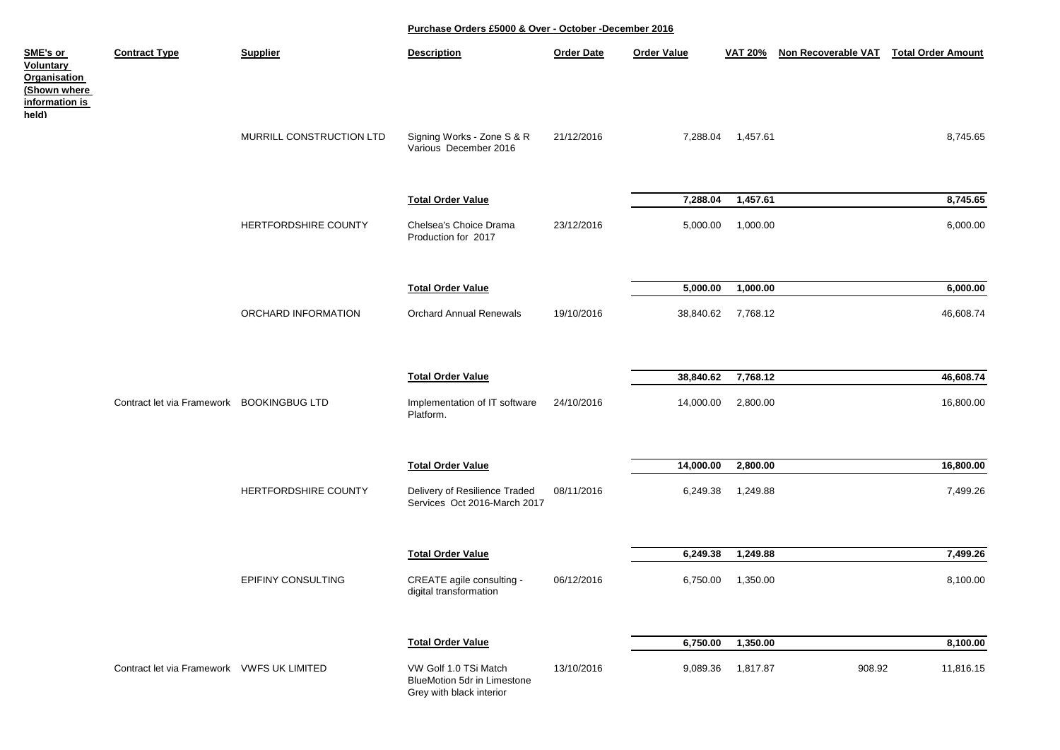| SME's or<br>Voluntary<br>Organisation<br>(Shown where<br>information is | <b>Contract Type</b>                       | <b>Supplier</b>           | <b>Description</b>                                                               | <b>Order Date</b> | <b>Order Value</b> | <b>VAT 20%</b> | Non Recoverable VAT | <b>Total Order Amount</b> |
|-------------------------------------------------------------------------|--------------------------------------------|---------------------------|----------------------------------------------------------------------------------|-------------------|--------------------|----------------|---------------------|---------------------------|
| held)                                                                   |                                            | MURRILL CONSTRUCTION LTD  | Signing Works - Zone S & R<br>Various December 2016                              | 21/12/2016        | 7,288.04           | 1,457.61       |                     | 8,745.65                  |
|                                                                         |                                            |                           | <b>Total Order Value</b>                                                         |                   | 7,288.04           | 1,457.61       |                     | 8,745.65                  |
|                                                                         |                                            | HERTFORDSHIRE COUNTY      | Chelsea's Choice Drama<br>Production for 2017                                    | 23/12/2016        | 5,000.00           | 1,000.00       |                     | 6,000.00                  |
|                                                                         |                                            |                           | <b>Total Order Value</b>                                                         |                   | 5,000.00           | 1,000.00       |                     | 6,000.00                  |
|                                                                         |                                            | ORCHARD INFORMATION       | <b>Orchard Annual Renewals</b>                                                   | 19/10/2016        | 38,840.62          | 7,768.12       |                     | 46,608.74                 |
|                                                                         |                                            |                           | <b>Total Order Value</b>                                                         |                   | 38,840.62          | 7,768.12       |                     | 46,608.74                 |
|                                                                         | Contract let via Framework BOOKINGBUG LTD  |                           | Implementation of IT software<br>Platform.                                       | 24/10/2016        | 14,000.00          | 2,800.00       |                     | 16,800.00                 |
|                                                                         |                                            |                           | <b>Total Order Value</b>                                                         |                   | 14,000.00          | 2,800.00       |                     | 16,800.00                 |
|                                                                         |                                            | HERTFORDSHIRE COUNTY      | Delivery of Resilience Traded<br>Services Oct 2016-March 2017                    | 08/11/2016        | 6,249.38           | 1,249.88       |                     | 7,499.26                  |
|                                                                         |                                            |                           | <b>Total Order Value</b>                                                         |                   | 6,249.38           | 1,249.88       |                     | 7,499.26                  |
|                                                                         |                                            | <b>EPIFINY CONSULTING</b> | CREATE agile consulting -<br>digital transformation                              | 06/12/2016        | 6,750.00           | 1,350.00       |                     | 8,100.00                  |
|                                                                         |                                            |                           | <b>Total Order Value</b>                                                         |                   | 6,750.00           | 1,350.00       |                     | 8,100.00                  |
|                                                                         | Contract let via Framework VWFS UK LIMITED |                           | VW Golf 1.0 TSi Match<br>BlueMotion 5dr in Limestone<br>Grey with black interior | 13/10/2016        | 9,089.36           | 1,817.87       | 908.92              | 11,816.15                 |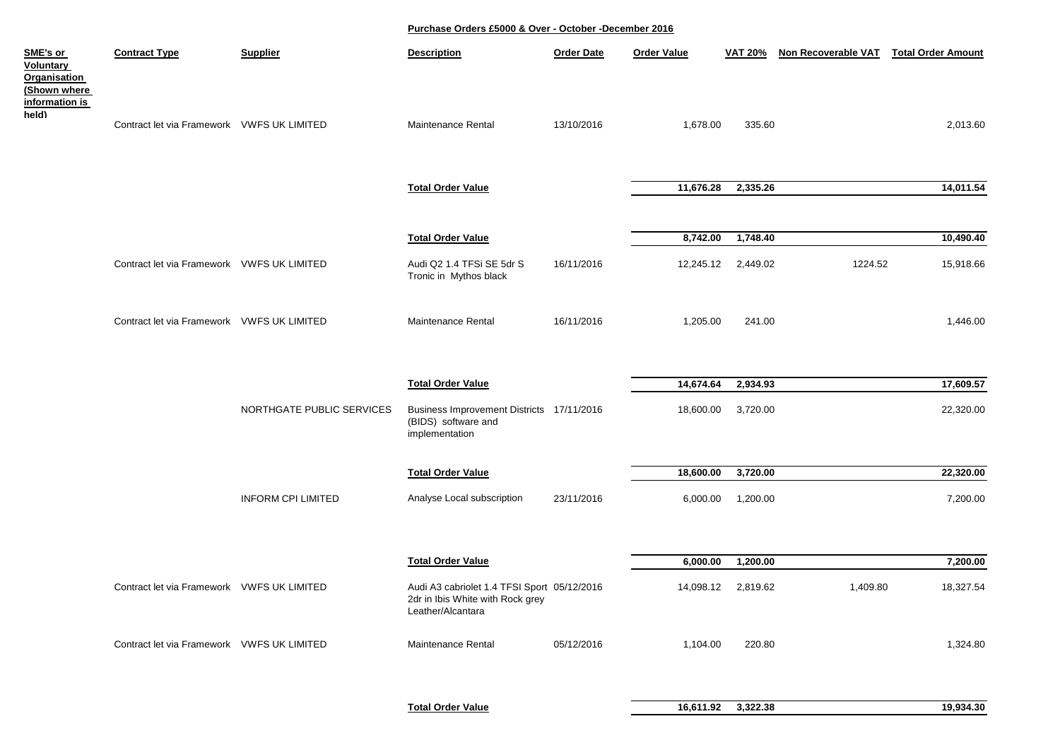| SME's or<br>Voluntary<br>Organisation<br>(Shown where<br>information is | <b>Contract Type</b>                       | <b>Supplier</b>           | <b>Description</b>                                                                                   | <b>Order Date</b> | <b>Order Value</b> | <b>VAT 20%</b>     | Non Recoverable VAT | <b>Total Order Amount</b> |
|-------------------------------------------------------------------------|--------------------------------------------|---------------------------|------------------------------------------------------------------------------------------------------|-------------------|--------------------|--------------------|---------------------|---------------------------|
| held)                                                                   | Contract let via Framework VWFS UK LIMITED |                           | Maintenance Rental                                                                                   | 13/10/2016        | 1,678.00           | 335.60             |                     | 2,013.60                  |
|                                                                         |                                            |                           | <b>Total Order Value</b>                                                                             |                   | 11,676.28          | 2,335.26           |                     | 14,011.54                 |
|                                                                         |                                            |                           | <b>Total Order Value</b>                                                                             |                   | 8,742.00           | 1,748.40           |                     | 10,490.40                 |
|                                                                         | Contract let via Framework VWFS UK LIMITED |                           | Audi Q2 1.4 TFSi SE 5dr S<br>Tronic in Mythos black                                                  | 16/11/2016        |                    | 12,245.12 2,449.02 | 1224.52             | 15,918.66                 |
|                                                                         | Contract let via Framework VWFS UK LIMITED |                           | Maintenance Rental                                                                                   | 16/11/2016        | 1,205.00           | 241.00             |                     | 1,446.00                  |
|                                                                         |                                            |                           | <b>Total Order Value</b>                                                                             |                   | 14,674.64          | 2,934.93           |                     | 17,609.57                 |
|                                                                         |                                            | NORTHGATE PUBLIC SERVICES | Business Improvement Districts 17/11/2016<br>(BIDS) software and<br>implementation                   |                   | 18,600.00          | 3,720.00           |                     | 22,320.00                 |
|                                                                         |                                            |                           | <b>Total Order Value</b>                                                                             |                   | 18,600.00          | 3,720.00           |                     | 22,320.00                 |
|                                                                         |                                            | <b>INFORM CPI LIMITED</b> | Analyse Local subscription                                                                           | 23/11/2016        | 6,000.00           | 1,200.00           |                     | 7,200.00                  |
|                                                                         |                                            |                           | <b>Total Order Value</b>                                                                             |                   | 6,000.00           | 1,200.00           |                     | 7,200.00                  |
|                                                                         | Contract let via Framework VWFS UK LIMITED |                           | Audi A3 cabriolet 1.4 TFSI Sport 05/12/2016<br>2dr in Ibis White with Rock grey<br>Leather/Alcantara |                   |                    | 14,098.12 2,819.62 | 1,409.80            | 18,327.54                 |
|                                                                         | Contract let via Framework VWFS UK LIMITED |                           | Maintenance Rental                                                                                   | 05/12/2016        | 1,104.00           | 220.80             |                     | 1,324.80                  |
|                                                                         |                                            |                           |                                                                                                      |                   |                    |                    |                     |                           |

**Total Order Value 16,611.92 3,322.38 19,934.30**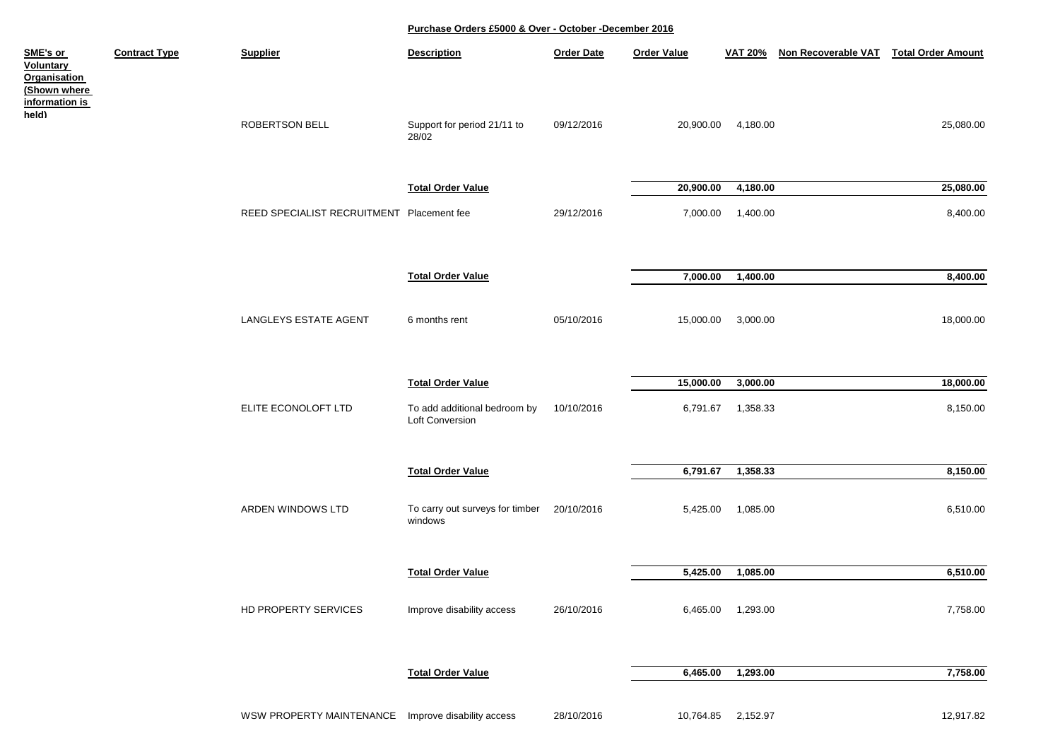| SME's or<br><b>Voluntary</b><br>Organisation<br>(Shown where | <b>Contract Type</b> | <b>Supplier</b>                                    | <b>Description</b>                                    | <b>Order Date</b> | <b>Order Value</b> | <b>VAT 20%</b>    | Non Recoverable VAT Total Order Amount |           |
|--------------------------------------------------------------|----------------------|----------------------------------------------------|-------------------------------------------------------|-------------------|--------------------|-------------------|----------------------------------------|-----------|
| <u>information is</u><br>held)                               |                      | ROBERTSON BELL                                     | Support for period 21/11 to<br>28/02                  | 09/12/2016        | 20,900.00          | 4,180.00          |                                        | 25,080.00 |
|                                                              |                      |                                                    | <b>Total Order Value</b>                              |                   | 20,900.00          | 4,180.00          |                                        | 25,080.00 |
|                                                              |                      | REED SPECIALIST RECRUITMENT Placement fee          |                                                       | 29/12/2016        | 7,000.00           | 1,400.00          |                                        | 8,400.00  |
|                                                              |                      |                                                    | <b>Total Order Value</b>                              |                   | 7,000.00           | 1,400.00          |                                        | 8,400.00  |
|                                                              |                      | LANGLEYS ESTATE AGENT                              | 6 months rent                                         | 05/10/2016        | 15,000.00          | 3,000.00          |                                        | 18,000.00 |
|                                                              |                      |                                                    | <b>Total Order Value</b>                              |                   | 15,000.00          | 3,000.00          |                                        | 18,000.00 |
|                                                              |                      | ELITE ECONOLOFT LTD                                | To add additional bedroom by<br>Loft Conversion       | 10/10/2016        | 6,791.67           | 1,358.33          |                                        | 8,150.00  |
|                                                              |                      |                                                    | <b>Total Order Value</b>                              |                   | 6,791.67           | 1,358.33          |                                        | 8,150.00  |
|                                                              |                      | ARDEN WINDOWS LTD                                  | To carry out surveys for timber 20/10/2016<br>windows |                   | 5,425.00           | 1,085.00          |                                        | 6,510.00  |
|                                                              |                      |                                                    | <b>Total Order Value</b>                              |                   | 5,425.00           | 1,085.00          |                                        | 6,510.00  |
|                                                              |                      | HD PROPERTY SERVICES                               | Improve disability access                             | 26/10/2016        |                    | 6,465.00 1,293.00 |                                        | 7,758.00  |
|                                                              |                      |                                                    | <b>Total Order Value</b>                              |                   | 6,465.00           | 1,293.00          |                                        | 7,758.00  |
|                                                              |                      | WSW PROPERTY MAINTENANCE Improve disability access |                                                       | 28/10/2016        | 10,764.85          | 2,152.97          |                                        | 12,917.82 |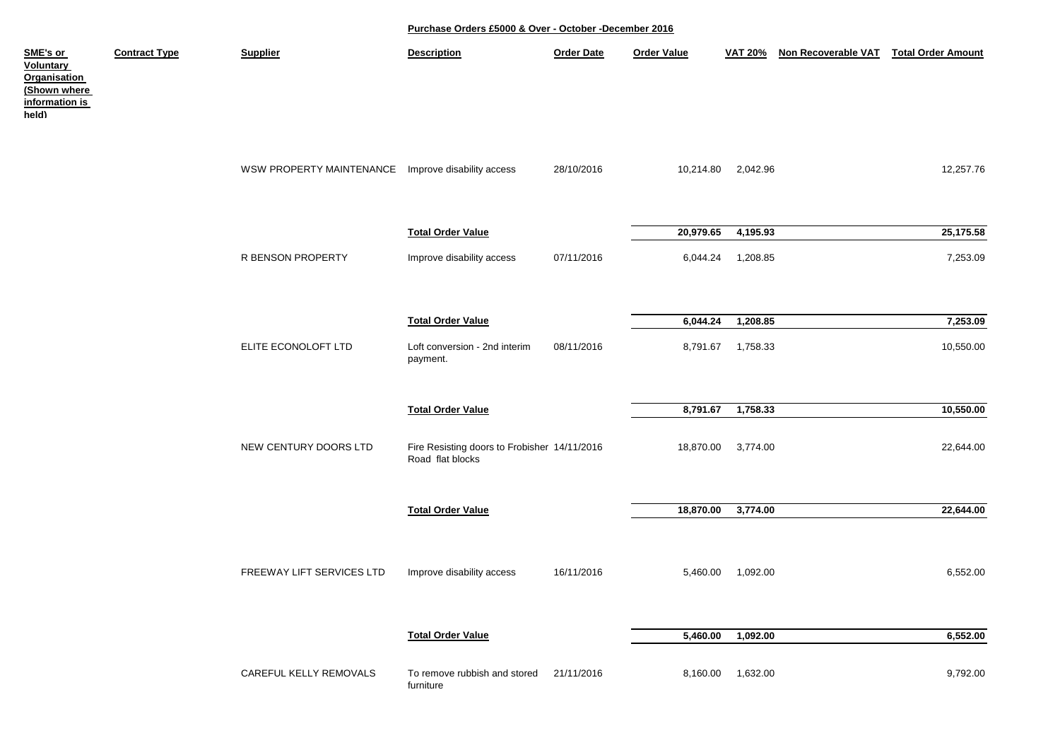| <u>SME's or</u><br><b>Voluntary</b><br>Organisation<br>(Shown where<br><u>information is</u><br>held) | <b>Contract Type</b> | <b>Supplier</b>                                    | <b>Description</b>                                               | <b>Order Date</b> | <b>Order Value</b> | <b>VAT 20%</b>    | Non Recoverable VAT | <b>Total Order Amount</b> |
|-------------------------------------------------------------------------------------------------------|----------------------|----------------------------------------------------|------------------------------------------------------------------|-------------------|--------------------|-------------------|---------------------|---------------------------|
|                                                                                                       |                      | WSW PROPERTY MAINTENANCE Improve disability access |                                                                  | 28/10/2016        | 10,214.80          | 2,042.96          |                     | 12,257.76                 |
|                                                                                                       |                      |                                                    | <b>Total Order Value</b>                                         |                   | 20,979.65          | 4,195.93          |                     | 25,175.58                 |
|                                                                                                       |                      | R BENSON PROPERTY                                  | Improve disability access                                        | 07/11/2016        | 6,044.24           | 1,208.85          |                     | 7,253.09                  |
|                                                                                                       |                      |                                                    | <b>Total Order Value</b>                                         |                   | 6,044.24           | 1,208.85          |                     | 7,253.09                  |
|                                                                                                       |                      | ELITE ECONOLOFT LTD                                | Loft conversion - 2nd interim<br>payment.                        | 08/11/2016        |                    | 8,791.67 1,758.33 |                     | 10,550.00                 |
|                                                                                                       |                      |                                                    | <b>Total Order Value</b>                                         |                   | 8,791.67           | 1,758.33          |                     | 10,550.00                 |
|                                                                                                       |                      | NEW CENTURY DOORS LTD                              | Fire Resisting doors to Frobisher 14/11/2016<br>Road flat blocks |                   | 18,870.00          | 3,774.00          |                     | 22,644.00                 |
|                                                                                                       |                      |                                                    | <b>Total Order Value</b>                                         |                   | 18,870.00          | 3,774.00          |                     | 22,644.00                 |
|                                                                                                       |                      | FREEWAY LIFT SERVICES LTD                          | Improve disability access                                        | 16/11/2016        | 5,460.00           | 1,092.00          |                     | 6,552.00                  |
|                                                                                                       |                      |                                                    | <b>Total Order Value</b>                                         |                   | 5,460.00           | 1,092.00          |                     | 6,552.00                  |
|                                                                                                       |                      | CAREFUL KELLY REMOVALS                             | To remove rubbish and stored<br>furniture                        | 21/11/2016        | 8,160.00           | 1,632.00          |                     | 9,792.00                  |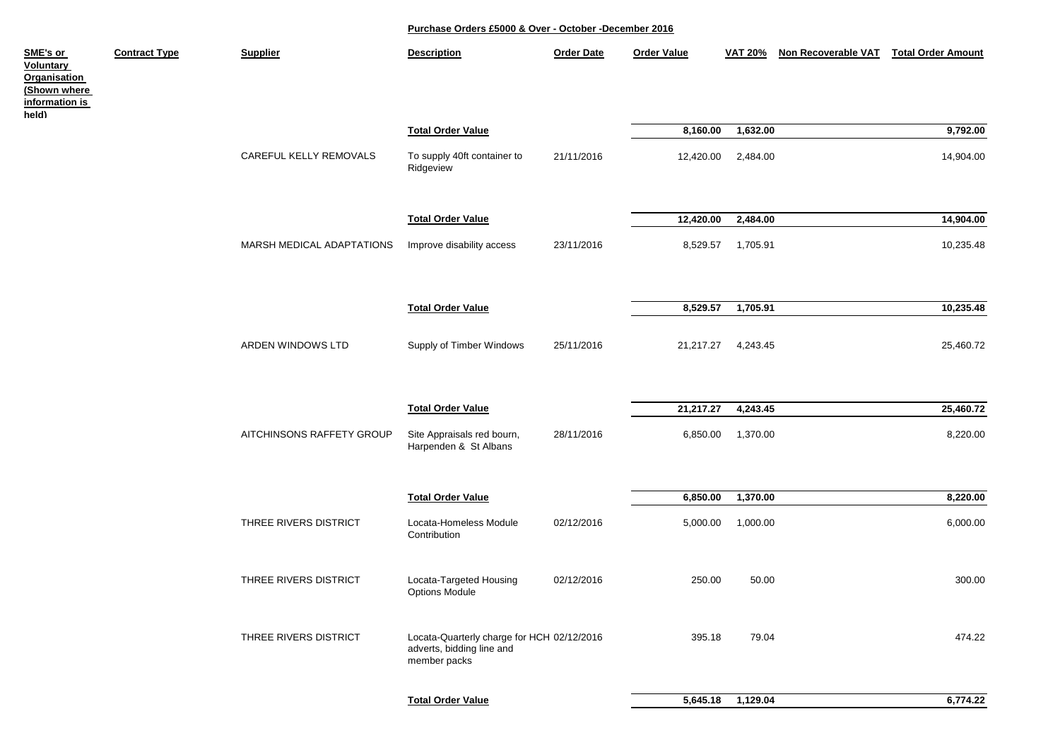| SME's or<br><b>Voluntary</b><br><b>Organisation</b><br>(Shown where<br><u>information is</u><br>held) | <b>Contract Type</b> | <b>Supplier</b>           | <b>Description</b>                                                                      | <b>Order Date</b> | <b>Order Value</b> | <b>VAT 20%</b> | Non Recoverable VAT | <b>Total Order Amount</b> |
|-------------------------------------------------------------------------------------------------------|----------------------|---------------------------|-----------------------------------------------------------------------------------------|-------------------|--------------------|----------------|---------------------|---------------------------|
|                                                                                                       |                      |                           | <b>Total Order Value</b>                                                                |                   | 8,160.00           | 1,632.00       |                     | 9,792.00                  |
|                                                                                                       |                      | CAREFUL KELLY REMOVALS    | To supply 40ft container to<br>Ridgeview                                                | 21/11/2016        | 12,420.00          | 2,484.00       |                     | 14,904.00                 |
|                                                                                                       |                      |                           | <b>Total Order Value</b>                                                                |                   | 12,420.00          | 2,484.00       |                     | 14,904.00                 |
|                                                                                                       |                      | MARSH MEDICAL ADAPTATIONS | Improve disability access                                                               | 23/11/2016        | 8,529.57           | 1,705.91       |                     | 10,235.48                 |
|                                                                                                       |                      |                           |                                                                                         |                   |                    |                |                     |                           |
|                                                                                                       |                      |                           | <b>Total Order Value</b>                                                                |                   | 8,529.57           | 1,705.91       |                     | 10,235.48                 |
|                                                                                                       |                      | ARDEN WINDOWS LTD         | Supply of Timber Windows                                                                | 25/11/2016        | 21,217.27          | 4,243.45       |                     | 25,460.72                 |
|                                                                                                       |                      |                           | <b>Total Order Value</b>                                                                |                   | 21,217.27          | 4,243.45       |                     | 25,460.72                 |
|                                                                                                       |                      | AITCHINSONS RAFFETY GROUP | Site Appraisals red bourn,<br>Harpenden & St Albans                                     | 28/11/2016        | 6,850.00           | 1,370.00       |                     | 8,220.00                  |
|                                                                                                       |                      |                           | <b>Total Order Value</b>                                                                |                   | 6,850.00           | 1,370.00       |                     | 8,220.00                  |
|                                                                                                       |                      | THREE RIVERS DISTRICT     | Locata-Homeless Module<br>Contribution                                                  | 02/12/2016        | 5,000.00           | 1,000.00       |                     | 6,000.00                  |
|                                                                                                       |                      | THREE RIVERS DISTRICT     | Locata-Targeted Housing<br><b>Options Module</b>                                        | 02/12/2016        | 250.00             | 50.00          |                     | 300.00                    |
|                                                                                                       |                      | THREE RIVERS DISTRICT     | Locata-Quarterly charge for HCH 02/12/2016<br>adverts, bidding line and<br>member packs |                   | 395.18             | 79.04          |                     | 474.22                    |
|                                                                                                       |                      |                           |                                                                                         |                   |                    |                |                     |                           |
|                                                                                                       |                      |                           | <b>Total Order Value</b>                                                                |                   | 5,645.18           | 1,129.04       |                     | 6,774.22                  |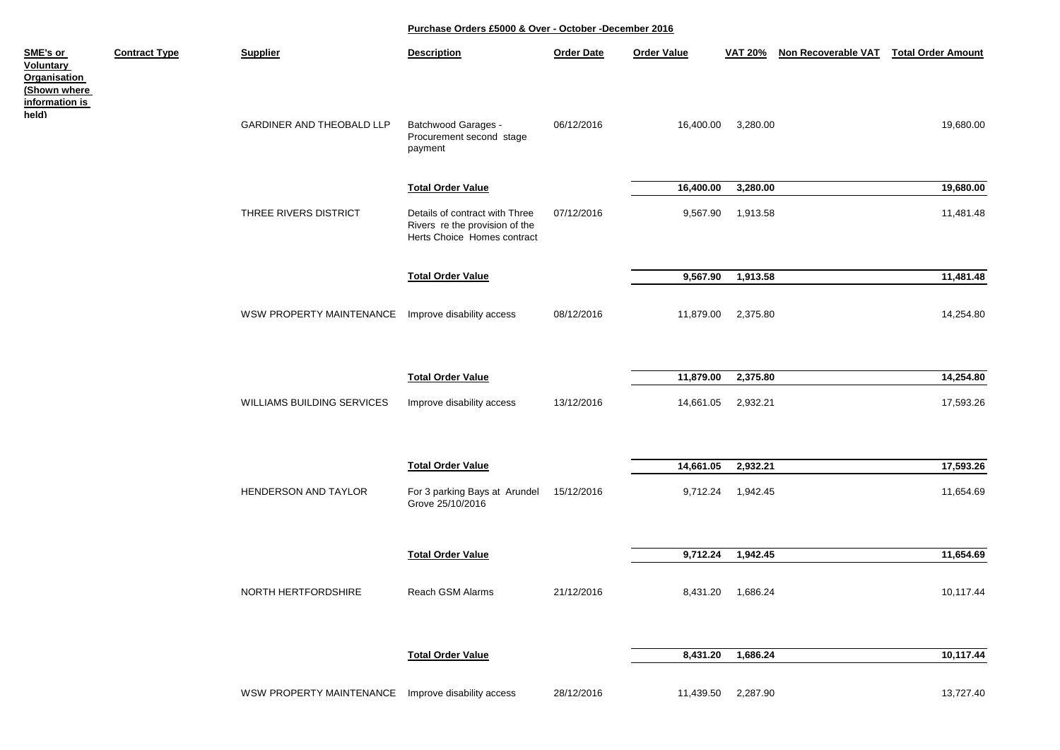| <u>SME's or</u><br><b>Voluntary</b><br>Organisation<br>(Shown where | <b>Contract Type</b> | <b>Supplier</b>                                    | <b>Description</b>                                                                              | <b>Order Date</b> | <b>Order Value</b> | <b>VAT 20%</b> | <b>Non Recoverable VAT</b> | <b>Total Order Amount</b> |
|---------------------------------------------------------------------|----------------------|----------------------------------------------------|-------------------------------------------------------------------------------------------------|-------------------|--------------------|----------------|----------------------------|---------------------------|
| <u>information is</u><br>held)                                      |                      | <b>GARDINER AND THEOBALD LLP</b>                   | Batchwood Garages -<br>Procurement second stage<br>payment                                      | 06/12/2016        | 16,400.00          | 3,280.00       |                            | 19,680.00                 |
|                                                                     |                      |                                                    | <b>Total Order Value</b>                                                                        |                   | 16,400.00          | 3,280.00       |                            | 19,680.00                 |
|                                                                     |                      | THREE RIVERS DISTRICT                              | Details of contract with Three<br>Rivers re the provision of the<br>Herts Choice Homes contract | 07/12/2016        | 9,567.90           | 1,913.58       |                            | 11,481.48                 |
|                                                                     |                      |                                                    |                                                                                                 |                   |                    |                |                            |                           |
|                                                                     |                      |                                                    | <b>Total Order Value</b>                                                                        |                   | 9,567.90           | 1,913.58       |                            | 11,481.48                 |
|                                                                     |                      | WSW PROPERTY MAINTENANCE                           | Improve disability access                                                                       | 08/12/2016        | 11,879.00          | 2,375.80       |                            | 14,254.80                 |
|                                                                     |                      |                                                    |                                                                                                 |                   |                    |                |                            |                           |
|                                                                     |                      |                                                    | <b>Total Order Value</b>                                                                        |                   | 11,879.00          | 2,375.80       |                            | 14,254.80                 |
|                                                                     |                      | WILLIAMS BUILDING SERVICES                         | Improve disability access                                                                       | 13/12/2016        | 14,661.05          | 2,932.21       |                            | 17,593.26                 |
|                                                                     |                      |                                                    | <b>Total Order Value</b>                                                                        |                   | 14,661.05          | 2,932.21       |                            | 17,593.26                 |
|                                                                     |                      | HENDERSON AND TAYLOR                               | For 3 parking Bays at Arundel<br>Grove 25/10/2016                                               | 15/12/2016        | 9,712.24           | 1,942.45       |                            | 11,654.69                 |
|                                                                     |                      |                                                    |                                                                                                 |                   |                    |                |                            |                           |
|                                                                     |                      |                                                    | <b>Total Order Value</b>                                                                        |                   | 9,712.24           | 1,942.45       |                            | 11,654.69                 |
|                                                                     |                      |                                                    |                                                                                                 |                   |                    |                |                            |                           |
|                                                                     |                      | NORTH HERTFORDSHIRE                                | Reach GSM Alarms                                                                                | 21/12/2016        | 8,431.20           | 1,686.24       |                            | 10,117.44                 |
|                                                                     |                      |                                                    | <b>Total Order Value</b>                                                                        |                   | 8,431.20           | 1,686.24       |                            | 10,117.44                 |
|                                                                     |                      | WSW PROPERTY MAINTENANCE Improve disability access |                                                                                                 | 28/12/2016        | 11,439.50          | 2,287.90       |                            | 13,727.40                 |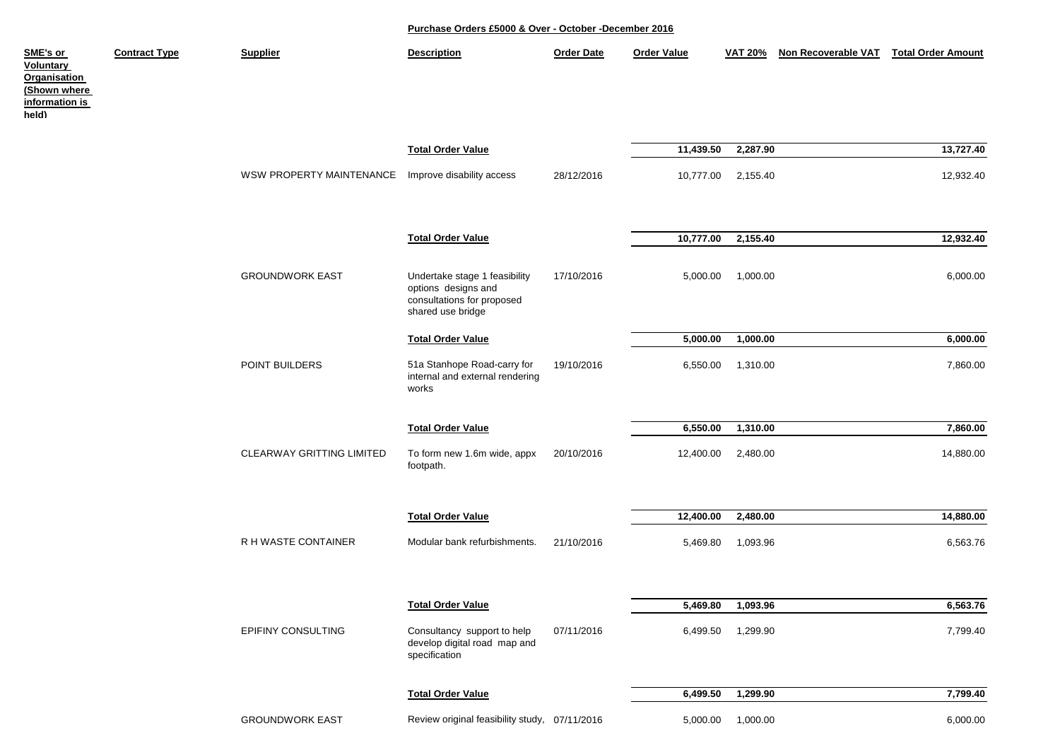| SME's or<br>Voluntary<br><b>Organisation</b><br>(Shown where<br>information is<br>held) | <b>Contract Type</b> | <b>Supplier</b>           | <b>Description</b>                                                                                      | <b>Order Date</b> | <b>Order Value</b> | <b>VAT 20%</b>    | Non Recoverable VAT | <b>Total Order Amount</b> |
|-----------------------------------------------------------------------------------------|----------------------|---------------------------|---------------------------------------------------------------------------------------------------------|-------------------|--------------------|-------------------|---------------------|---------------------------|
|                                                                                         |                      |                           | <b>Total Order Value</b>                                                                                |                   | 11,439.50          | 2,287.90          |                     | 13,727.40                 |
|                                                                                         |                      | WSW PROPERTY MAINTENANCE  | Improve disability access                                                                               | 28/12/2016        | 10,777.00          | 2,155.40          |                     | 12,932.40                 |
|                                                                                         |                      |                           | <b>Total Order Value</b>                                                                                |                   | 10,777.00          | 2,155.40          |                     | 12,932.40                 |
|                                                                                         |                      | <b>GROUNDWORK EAST</b>    | Undertake stage 1 feasibility<br>options designs and<br>consultations for proposed<br>shared use bridge | 17/10/2016        | 5,000.00           | 1,000.00          |                     | 6,000.00                  |
|                                                                                         |                      |                           | <b>Total Order Value</b>                                                                                |                   | 5,000.00           | 1,000.00          |                     | 6,000.00                  |
|                                                                                         |                      | POINT BUILDERS            | 51a Stanhope Road-carry for<br>internal and external rendering<br>works                                 | 19/10/2016        | 6,550.00           | 1,310.00          |                     | 7,860.00                  |
|                                                                                         |                      |                           | <b>Total Order Value</b>                                                                                |                   | 6,550.00           | 1,310.00          |                     | 7,860.00                  |
|                                                                                         |                      | CLEARWAY GRITTING LIMITED | To form new 1.6m wide, appx<br>footpath.                                                                | 20/10/2016        | 12,400.00          | 2,480.00          |                     | 14,880.00                 |
|                                                                                         |                      |                           | <b>Total Order Value</b>                                                                                |                   | 12,400.00          | 2,480.00          |                     | 14,880.00                 |
|                                                                                         |                      | R H WASTE CONTAINER       | Modular bank refurbishments.                                                                            | 21/10/2016        | 5,469.80           | 1,093.96          |                     | 6,563.76                  |
|                                                                                         |                      |                           | <b>Total Order Value</b>                                                                                |                   | 5,469.80           | 1,093.96          |                     | 6,563.76                  |
|                                                                                         |                      | EPIFINY CONSULTING        | Consultancy support to help<br>develop digital road map and<br>specification                            | 07/11/2016        | 6,499.50           | 1,299.90          |                     | 7,799.40                  |
|                                                                                         |                      |                           | <b>Total Order Value</b>                                                                                |                   | 6,499.50           | 1,299.90          |                     | 7,799.40                  |
|                                                                                         |                      | <b>GROUNDWORK EAST</b>    | Review original feasibility study, 07/11/2016                                                           |                   |                    | 5,000.00 1,000.00 |                     | 6,000.00                  |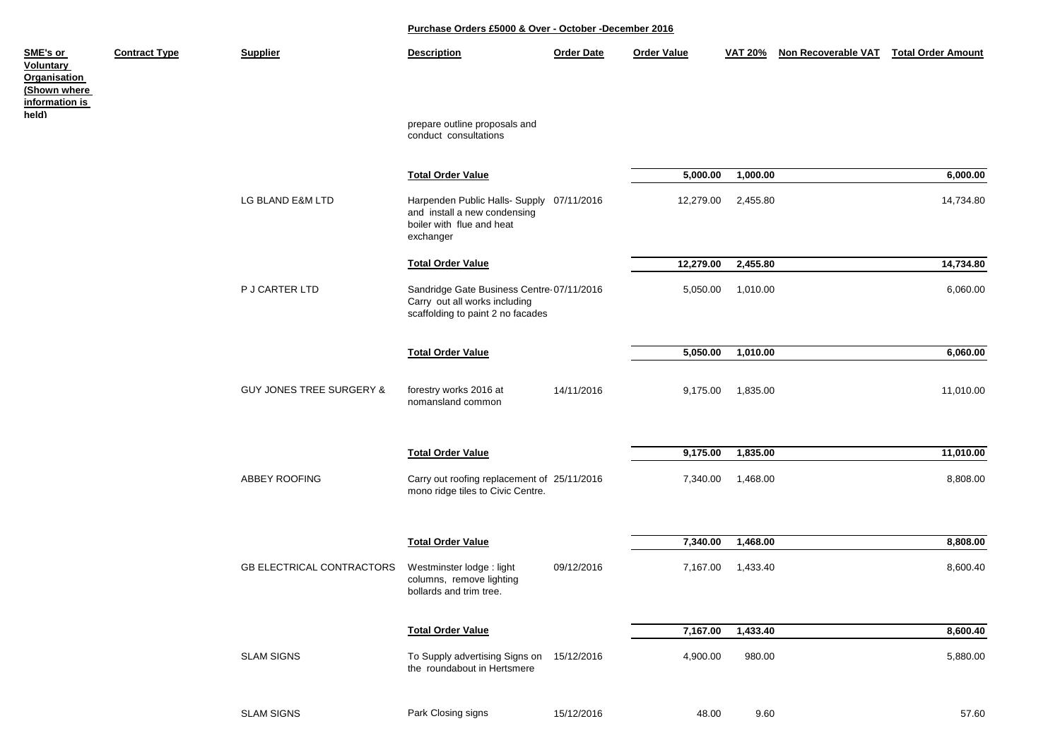| SME's or<br><b>Voluntary</b><br><b>Organisation</b><br>(Shown where<br>information is | <b>Contract Type</b> | <b>Supplier</b>                     | <b>Description</b>                                                                                                  | <b>Order Date</b> | <b>Order Value</b> | <b>VAT 20%</b> | Non Recoverable VAT Total Order Amount |           |
|---------------------------------------------------------------------------------------|----------------------|-------------------------------------|---------------------------------------------------------------------------------------------------------------------|-------------------|--------------------|----------------|----------------------------------------|-----------|
| held)                                                                                 |                      |                                     | prepare outline proposals and<br>conduct consultations                                                              |                   |                    |                |                                        |           |
|                                                                                       |                      |                                     | <b>Total Order Value</b>                                                                                            |                   | 5,000.00           | 1,000.00       |                                        | 6,000.00  |
|                                                                                       |                      | LG BLAND E&M LTD                    | Harpenden Public Halls- Supply 07/11/2016<br>and install a new condensing<br>boiler with flue and heat<br>exchanger |                   | 12,279.00          | 2,455.80       |                                        | 14,734.80 |
|                                                                                       |                      |                                     | <b>Total Order Value</b>                                                                                            |                   | 12,279.00          | 2,455.80       |                                        | 14,734.80 |
|                                                                                       |                      | P J CARTER LTD                      | Sandridge Gate Business Centre-07/11/2016<br>Carry out all works including<br>scaffolding to paint 2 no facades     |                   | 5,050.00           | 1,010.00       |                                        | 6,060.00  |
|                                                                                       |                      |                                     | <b>Total Order Value</b>                                                                                            |                   | 5,050.00           | 1,010.00       |                                        | 6,060.00  |
|                                                                                       |                      | <b>GUY JONES TREE SURGERY &amp;</b> | forestry works 2016 at<br>nomansland common                                                                         | 14/11/2016        | 9,175.00           | 1,835.00       |                                        | 11,010.00 |
|                                                                                       |                      |                                     | <b>Total Order Value</b>                                                                                            |                   | 9,175.00           | 1,835.00       |                                        | 11,010.00 |
|                                                                                       |                      | ABBEY ROOFING                       | Carry out roofing replacement of 25/11/2016<br>mono ridge tiles to Civic Centre.                                    |                   | 7,340.00           | 1,468.00       |                                        | 8,808.00  |
|                                                                                       |                      |                                     | <b>Total Order Value</b>                                                                                            |                   | 7,340.00           | 1,468.00       |                                        | 8,808.00  |
|                                                                                       |                      | <b>GB ELECTRICAL CONTRACTORS</b>    | Westminster lodge: light<br>columns, remove lighting<br>bollards and trim tree.                                     | 09/12/2016        | 7,167.00           | 1,433.40       |                                        | 8,600.40  |
|                                                                                       |                      |                                     | <b>Total Order Value</b>                                                                                            |                   | 7,167.00           | 1,433.40       |                                        | 8,600.40  |
|                                                                                       |                      | <b>SLAM SIGNS</b>                   | To Supply advertising Signs on 15/12/2016<br>the roundabout in Hertsmere                                            |                   | 4,900.00           | 980.00         |                                        | 5,880.00  |
|                                                                                       |                      | <b>SLAM SIGNS</b>                   | Park Closing signs                                                                                                  | 15/12/2016        | 48.00              | 9.60           |                                        | 57.60     |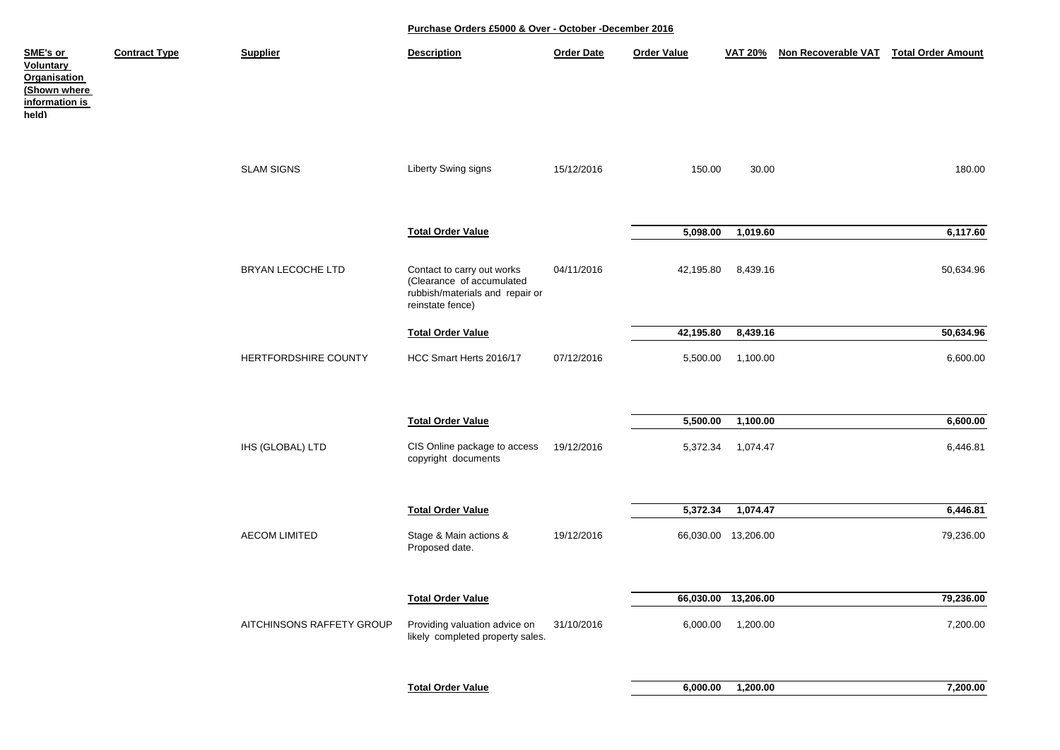| SME's or<br><b>Voluntary</b><br><b>Organisation</b><br>(Shown where<br>information is<br>held) | <b>Contract Type</b> | <b>Supplier</b>           | <b>Description</b>                                                                                             | <b>Order Date</b> | <b>Order Value</b> | <b>VAT 20%</b>      | Non Recoverable VAT | <b>Total Order Amount</b> |
|------------------------------------------------------------------------------------------------|----------------------|---------------------------|----------------------------------------------------------------------------------------------------------------|-------------------|--------------------|---------------------|---------------------|---------------------------|
|                                                                                                |                      | <b>SLAM SIGNS</b>         | Liberty Swing signs                                                                                            | 15/12/2016        | 150.00             | 30.00               |                     | 180.00                    |
|                                                                                                |                      |                           | <b>Total Order Value</b>                                                                                       |                   | 5,098.00           | 1,019.60            |                     | 6,117.60                  |
|                                                                                                |                      | BRYAN LECOCHE LTD         | Contact to carry out works<br>(Clearance of accumulated<br>rubbish/materials and repair or<br>reinstate fence) | 04/11/2016        | 42,195.80          | 8,439.16            |                     | 50,634.96                 |
|                                                                                                |                      |                           | <b>Total Order Value</b>                                                                                       |                   | 42,195.80          | 8,439.16            |                     | 50,634.96                 |
|                                                                                                |                      | HERTFORDSHIRE COUNTY      | HCC Smart Herts 2016/17                                                                                        | 07/12/2016        | 5,500.00           | 1,100.00            |                     | 6,600.00                  |
|                                                                                                |                      |                           | <b>Total Order Value</b>                                                                                       |                   | 5,500.00           | 1,100.00            |                     | 6,600.00                  |
|                                                                                                |                      | IHS (GLOBAL) LTD          | CIS Online package to access<br>copyright documents                                                            | 19/12/2016        | 5,372.34           | 1,074.47            |                     | 6,446.81                  |
|                                                                                                |                      |                           | <b>Total Order Value</b>                                                                                       |                   | 5,372.34           | 1,074.47            |                     | 6,446.81                  |
|                                                                                                |                      | <b>AECOM LIMITED</b>      | Stage & Main actions &<br>Proposed date.                                                                       | 19/12/2016        |                    | 66,030.00 13,206.00 |                     | 79,236.00                 |
|                                                                                                |                      |                           | <b>Total Order Value</b>                                                                                       |                   |                    | 66,030.00 13,206.00 |                     | 79,236.00                 |
|                                                                                                |                      | AITCHINSONS RAFFETY GROUP | Providing valuation advice on<br>likely completed property sales.                                              | 31/10/2016        |                    | 6,000.00 1,200.00   |                     | 7,200.00                  |
|                                                                                                |                      |                           |                                                                                                                |                   |                    |                     |                     |                           |
|                                                                                                |                      |                           | <b>Total Order Value</b>                                                                                       |                   | 6,000.00           | 1,200.00            |                     | 7,200.00                  |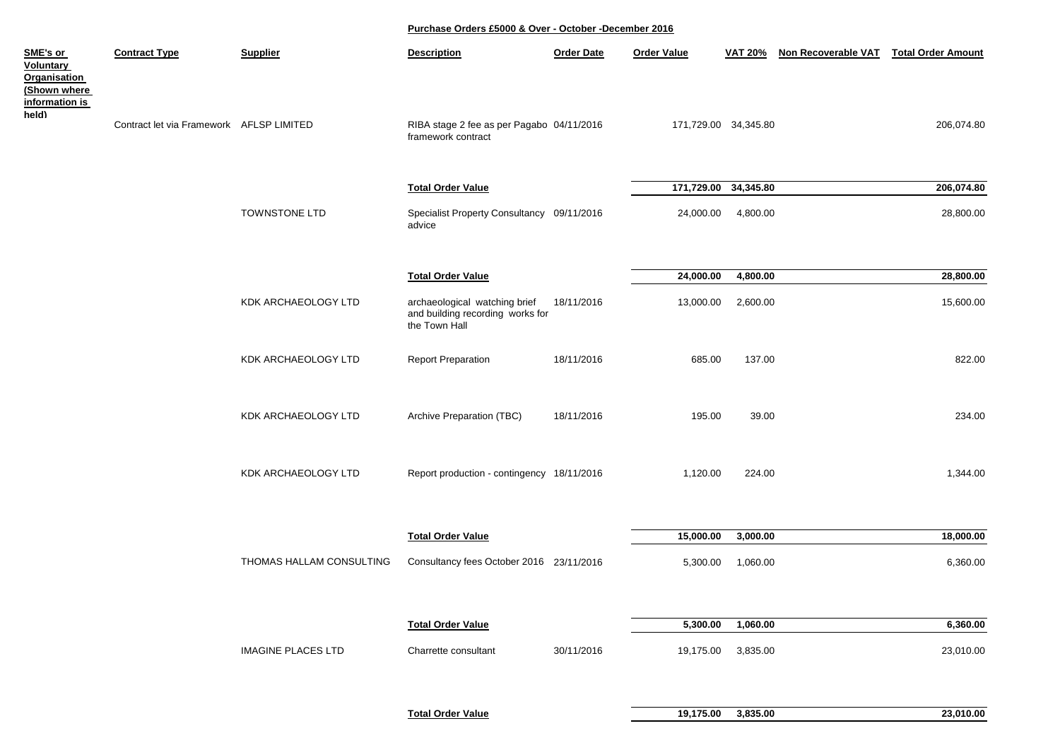| <b>Contract Type</b> | <b>Supplier</b>           | <b>Description</b>                             | <b>Order Date</b>                                    | <b>Order Value</b>                                                                                                                                                                                                    | <b>VAT 20%</b>         | Non Recoverable VAT                                                                  | <b>Total Order Amount</b>                                                                                     |
|----------------------|---------------------------|------------------------------------------------|------------------------------------------------------|-----------------------------------------------------------------------------------------------------------------------------------------------------------------------------------------------------------------------|------------------------|--------------------------------------------------------------------------------------|---------------------------------------------------------------------------------------------------------------|
|                      |                           | framework contract                             |                                                      |                                                                                                                                                                                                                       |                        |                                                                                      | 206,074.80                                                                                                    |
|                      |                           | <b>Total Order Value</b>                       |                                                      |                                                                                                                                                                                                                       | 34,345.80              |                                                                                      | 206,074.80                                                                                                    |
|                      | <b>TOWNSTONE LTD</b>      | advice                                         |                                                      |                                                                                                                                                                                                                       |                        |                                                                                      | 28,800.00                                                                                                     |
|                      |                           |                                                |                                                      |                                                                                                                                                                                                                       |                        |                                                                                      |                                                                                                               |
|                      | KDK ARCHAEOLOGY LTD       | archaeological watching brief<br>the Town Hall | 18/11/2016                                           | 13,000.00                                                                                                                                                                                                             |                        |                                                                                      | 28,800.00<br>15,600.00                                                                                        |
|                      | KDK ARCHAEOLOGY LTD       | <b>Report Preparation</b>                      | 18/11/2016                                           | 685.00                                                                                                                                                                                                                |                        |                                                                                      | 822.00                                                                                                        |
|                      | KDK ARCHAEOLOGY LTD       | Archive Preparation (TBC)                      | 18/11/2016                                           | 195.00                                                                                                                                                                                                                |                        |                                                                                      | 234.00                                                                                                        |
|                      | KDK ARCHAEOLOGY LTD       |                                                |                                                      | 1,120.00                                                                                                                                                                                                              |                        |                                                                                      | 1,344.00                                                                                                      |
|                      |                           |                                                |                                                      |                                                                                                                                                                                                                       |                        |                                                                                      |                                                                                                               |
|                      |                           |                                                |                                                      |                                                                                                                                                                                                                       |                        |                                                                                      | 18,000.00                                                                                                     |
|                      | THOMAS HALLAM CONSULTING  |                                                |                                                      |                                                                                                                                                                                                                       |                        |                                                                                      | 6,360.00                                                                                                      |
|                      |                           | <b>Total Order Value</b>                       |                                                      |                                                                                                                                                                                                                       |                        |                                                                                      | 6,360.00                                                                                                      |
|                      | <b>IMAGINE PLACES LTD</b> | Charrette consultant                           | 30/11/2016                                           |                                                                                                                                                                                                                       |                        |                                                                                      | 23,010.00                                                                                                     |
|                      |                           | Contract let via Framework AFLSP LIMITED       | <b>Total Order Value</b><br><b>Total Order Value</b> | RIBA stage 2 fee as per Pagabo 04/11/2016<br>Specialist Property Consultancy 09/11/2016<br>and building recording works for<br>Report production - contingency 18/11/2016<br>Consultancy fees October 2016 23/11/2016 | 24,000.00<br>15,000.00 | 171,729.00 34,345.80<br>171,729.00<br>24,000.00<br>5,300.00<br>5,300.00<br>19,175.00 | 4,800.00<br>4,800.00<br>2,600.00<br>137.00<br>39.00<br>224.00<br>3,000.00<br>1,060.00<br>1,060.00<br>3,835.00 |

| <b>Total Order Value</b> | 19.175.00 | 3.835.00 | 23.010.00 |
|--------------------------|-----------|----------|-----------|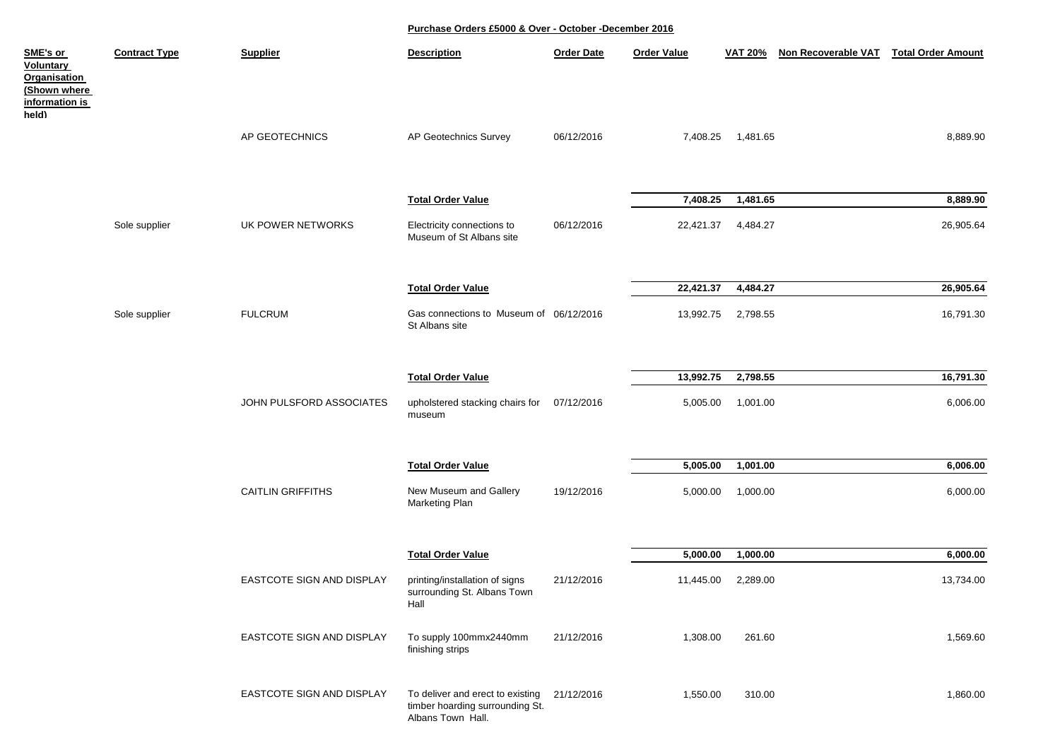| SME's or<br>Voluntary<br>Organisation<br>(Shown where<br><u>information is</u><br>held) | <b>Contract Type</b> | <b>Supplier</b>                  | <b>Description</b>                                                                       | <b>Order Date</b> | <b>Order Value</b>    | <b>VAT 20%</b>       | Non Recoverable VAT | <b>Total Order Amount</b> |
|-----------------------------------------------------------------------------------------|----------------------|----------------------------------|------------------------------------------------------------------------------------------|-------------------|-----------------------|----------------------|---------------------|---------------------------|
|                                                                                         |                      | AP GEOTECHNICS                   | AP Geotechnics Survey                                                                    | 06/12/2016        | 7,408.25              | 1,481.65             |                     | 8,889.90                  |
|                                                                                         |                      |                                  | <b>Total Order Value</b>                                                                 |                   | 7,408.25              | 1,481.65             |                     | 8,889.90                  |
|                                                                                         | Sole supplier        | UK POWER NETWORKS                | Electricity connections to<br>Museum of St Albans site                                   | 06/12/2016        | 22,421.37             | 4,484.27             |                     | 26,905.64                 |
|                                                                                         |                      |                                  | <b>Total Order Value</b>                                                                 |                   | 22,421.37             | 4,484.27             |                     | 26,905.64                 |
|                                                                                         | Sole supplier        | <b>FULCRUM</b>                   | Gas connections to Museum of 06/12/2016<br>St Albans site                                |                   | 13,992.75             | 2,798.55             |                     | 16,791.30                 |
|                                                                                         |                      |                                  |                                                                                          |                   |                       |                      |                     |                           |
|                                                                                         |                      | JOHN PULSFORD ASSOCIATES         | <b>Total Order Value</b><br>upholstered stacking chairs for<br>museum                    | 07/12/2016        | 13,992.75<br>5,005.00 | 2,798.55<br>1,001.00 |                     | 16,791.30<br>6,006.00     |
|                                                                                         |                      |                                  | <b>Total Order Value</b>                                                                 |                   | 5,005.00              | 1,001.00             |                     | 6,006.00                  |
|                                                                                         |                      | <b>CAITLIN GRIFFITHS</b>         | New Museum and Gallery<br>Marketing Plan                                                 | 19/12/2016        | 5,000.00              | 1,000.00             |                     | 6,000.00                  |
|                                                                                         |                      |                                  |                                                                                          |                   |                       |                      |                     |                           |
|                                                                                         |                      |                                  | <b>Total Order Value</b>                                                                 |                   | 5,000.00              | 1,000.00             |                     | 6,000.00                  |
|                                                                                         |                      | <b>EASTCOTE SIGN AND DISPLAY</b> | printing/installation of signs<br>surrounding St. Albans Town<br>Hall                    | 21/12/2016        | 11,445.00             | 2,289.00             |                     | 13,734.00                 |
|                                                                                         |                      | EASTCOTE SIGN AND DISPLAY        | To supply 100mmx2440mm<br>finishing strips                                               | 21/12/2016        | 1,308.00              | 261.60               |                     | 1,569.60                  |
|                                                                                         |                      | EASTCOTE SIGN AND DISPLAY        | To deliver and erect to existing<br>timber hoarding surrounding St.<br>Albans Town Hall. | 21/12/2016        | 1,550.00              | 310.00               |                     | 1,860.00                  |